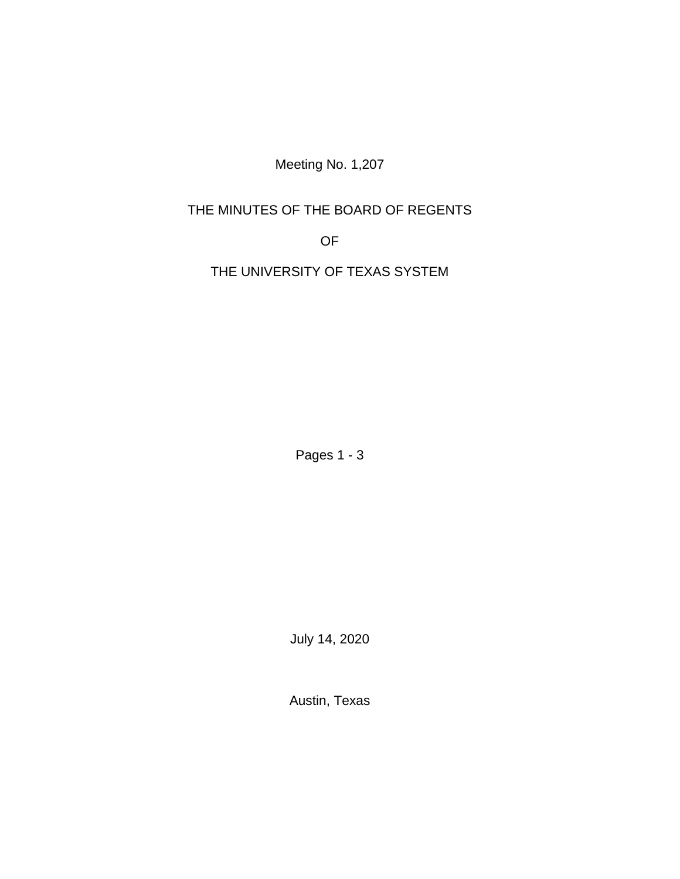Meeting No. 1,207

# THE MINUTES OF THE BOARD OF REGENTS

OF

THE UNIVERSITY OF TEXAS SYSTEM

Pages 1 - 3

July 14, 2020

Austin, Texas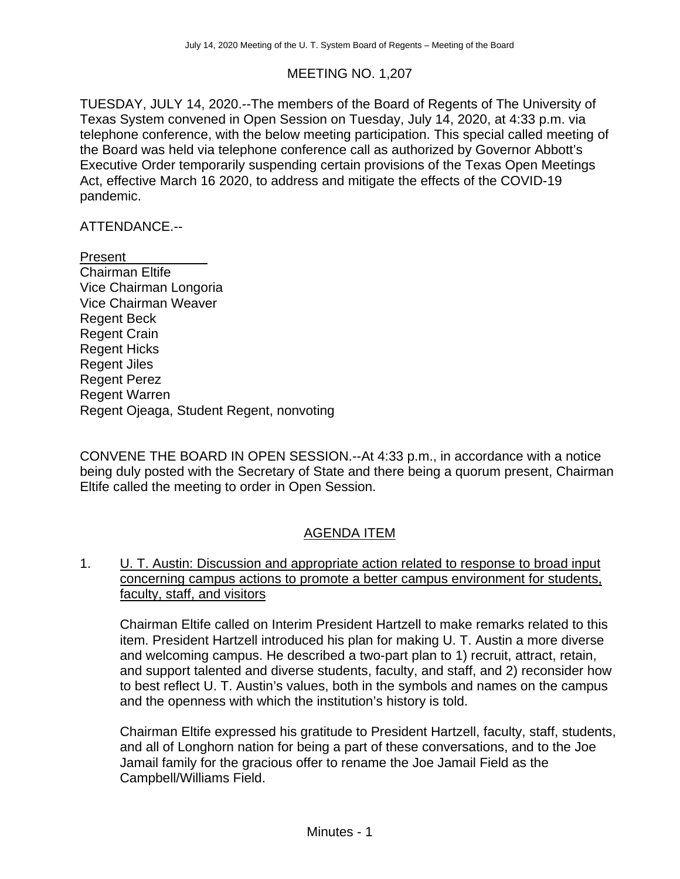## MEETING NO. 1,207

TUESDAY, JULY 14, 2020.--The members of the Board of Regents of The University of Texas System convened in Open Session on Tuesday, July 14, 2020, at 4:33 p.m. via telephone conference, with the below meeting participation. This special called meeting of the Board was held via telephone conference call as authorized by Governor Abbott's Executive Order temporarily suspending certain provisions of the Texas Open Meetings Act, effective March 16 2020, to address and mitigate the effects of the COVID-19 pandemic.

### ATTENDANCE.--

#### Present

Chairman Eltife Vice Chairman Longoria Vice Chairman Weaver Regent Beck Regent Crain Regent Hicks Regent Jiles Regent Perez Regent Warren Regent Ojeaga, Student Regent, nonvoting

CONVENE THE BOARD IN OPEN SESSION.--At 4:33 p.m., in accordance with a notice being duly posted with the Secretary of State and there being a quorum present, Chairman Eltife called the meeting to order in Open Session.

## AGENDA ITEM

## 1. U. T. Austin: Discussion and appropriate action related to response to broad input concerning campus actions to promote a better campus environment for students, faculty, staff, and visitors

Chairman Eltife called on Interim President Hartzell to make remarks related to this item. President Hartzell introduced his plan for making U. T. Austin a more diverse and welcoming campus. He described a two-part plan to 1) recruit, attract, retain, and support talented and diverse students, faculty, and staff, and 2) reconsider how to best reflect U. T. Austin's values, both in the symbols and names on the campus and the openness with which the institution's history is told.

Chairman Eltife expressed his gratitude to President Hartzell, faculty, staff, students, and all of Longhorn nation for being a part of these conversations, and to the Joe Jamail family for the gracious offer to rename the Joe Jamail Field as the Campbell/Williams Field.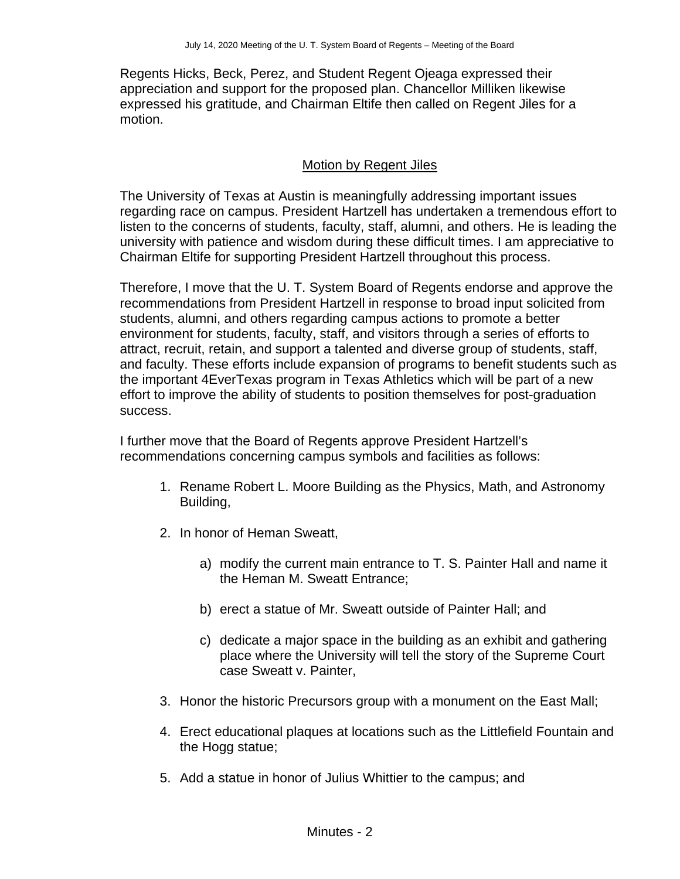Regents Hicks, Beck, Perez, and Student Regent Ojeaga expressed their appreciation and support for the proposed plan. Chancellor Milliken likewise expressed his gratitude, and Chairman Eltife then called on Regent Jiles for a motion.

### Motion by Regent Jiles

The University of Texas at Austin is meaningfully addressing important issues regarding race on campus. President Hartzell has undertaken a tremendous effort to listen to the concerns of students, faculty, staff, alumni, and others. He is leading the university with patience and wisdom during these difficult times. I am appreciative to Chairman Eltife for supporting President Hartzell throughout this process.

Therefore, I move that the U. T. System Board of Regents endorse and approve the recommendations from President Hartzell in response to broad input solicited from students, alumni, and others regarding campus actions to promote a better environment for students, faculty, staff, and visitors through a series of efforts to attract, recruit, retain, and support a talented and diverse group of students, staff, and faculty. These efforts include expansion of programs to benefit students such as the important 4EverTexas program in Texas Athletics which will be part of a new effort to improve the ability of students to position themselves for post-graduation success.

I further move that the Board of Regents approve President Hartzell's recommendations concerning campus symbols and facilities as follows:

- 1. Rename Robert L. Moore Building as the Physics, Math, and Astronomy Building,
- 2. In honor of Heman Sweatt,
	- a) modify the current main entrance to T. S. Painter Hall and name it the Heman M. Sweatt Entrance;
	- b) erect a statue of Mr. Sweatt outside of Painter Hall; and
	- c) dedicate a major space in the building as an exhibit and gathering place where the University will tell the story of the Supreme Court case Sweatt v. Painter,
- 3. Honor the historic Precursors group with a monument on the East Mall;
- 4. Erect educational plaques at locations such as the Littlefield Fountain and the Hogg statue;
- 5. Add a statue in honor of Julius Whittier to the campus; and